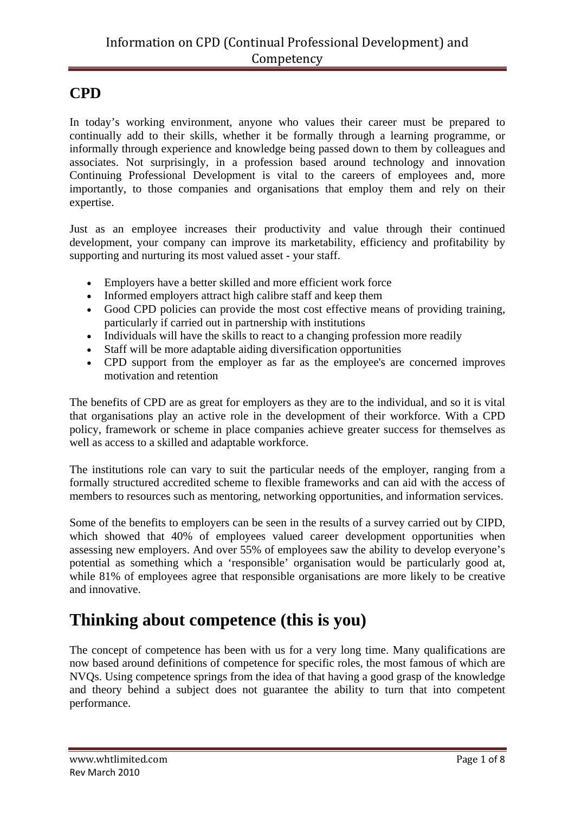### **CPD**

In today's working environment, anyone who values their career must be prepared to continually add to their skills, whether it be formally through a learning programme, or informally through experience and knowledge being passed down to them by colleagues and associates. Not surprisingly, in a profession based around technology and innovation Continuing Professional Development is vital to the careers of employees and, more importantly, to those companies and organisations that employ them and rely on their expertise.

Just as an employee increases their productivity and value through their continued development, your company can improve its marketability, efficiency and profitability by supporting and nurturing its most valued asset - your staff.

- Employers have a better skilled and more efficient work force
- Informed employers attract high calibre staff and keep them
- Good CPD policies can provide the most cost effective means of providing training, particularly if carried out in partnership with institutions
- Individuals will have the skills to react to a changing profession more readily
- Staff will be more adaptable aiding diversification opportunities
- CPD support from the employer as far as the employee's are concerned improves motivation and retention

The benefits of CPD are as great for employers as they are to the individual, and so it is vital that organisations play an active role in the development of their workforce. With a CPD policy, framework or scheme in place companies achieve greater success for themselves as well as access to a skilled and adaptable workforce.

The institutions role can vary to suit the particular needs of the employer, ranging from a formally structured accredited scheme to flexible frameworks and can aid with the access of members to resources such as mentoring, networking opportunities, and information services.

Some of the benefits to employers can be seen in the results of a survey carried out by CIPD, which showed that 40% of employees valued career development opportunities when assessing new employers. And over 55% of employees saw the ability to develop everyone's potential as something which a 'responsible' organisation would be particularly good at, while 81% of employees agree that responsible organisations are more likely to be creative and innovative.

# **Thinking about competence (this is you)**

The concept of competence has been with us for a very long time. Many qualifications are now based around definitions of competence for specific roles, the most famous of which are NVQs. Using competence springs from the idea of that having a good grasp of the knowledge and theory behind a subject does not guarantee the ability to turn that into competent performance.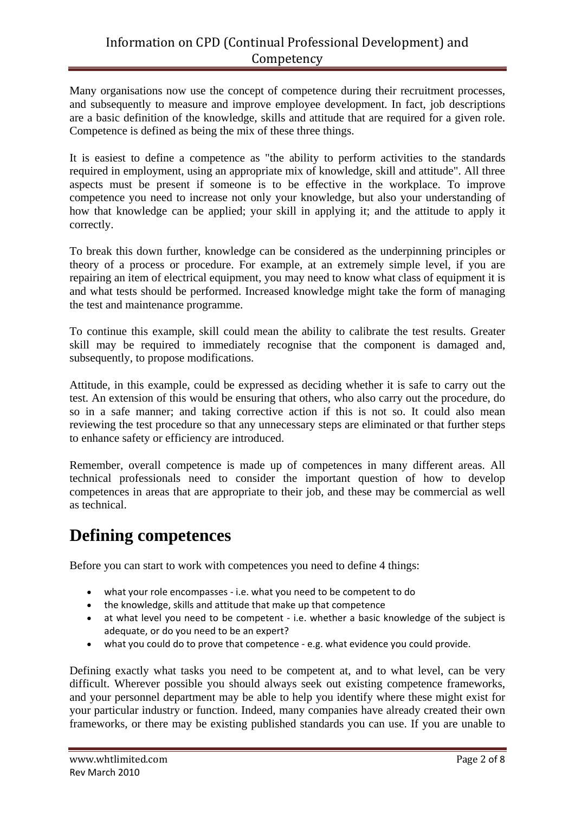Many organisations now use the concept of competence during their recruitment processes, and subsequently to measure and improve employee development. In fact, job descriptions are a basic definition of the knowledge, skills and attitude that are required for a given role. Competence is defined as being the mix of these three things.

It is easiest to define a competence as "the ability to perform activities to the standards required in employment, using an appropriate mix of knowledge, skill and attitude". All three aspects must be present if someone is to be effective in the workplace. To improve competence you need to increase not only your knowledge, but also your understanding of how that knowledge can be applied; your skill in applying it; and the attitude to apply it correctly.

To break this down further, knowledge can be considered as the underpinning principles or theory of a process or procedure. For example, at an extremely simple level, if you are repairing an item of electrical equipment, you may need to know what class of equipment it is and what tests should be performed. Increased knowledge might take the form of managing the test and maintenance programme.

To continue this example, skill could mean the ability to calibrate the test results. Greater skill may be required to immediately recognise that the component is damaged and, subsequently, to propose modifications.

Attitude, in this example, could be expressed as deciding whether it is safe to carry out the test. An extension of this would be ensuring that others, who also carry out the procedure, do so in a safe manner; and taking corrective action if this is not so. It could also mean reviewing the test procedure so that any unnecessary steps are eliminated or that further steps to enhance safety or efficiency are introduced.

Remember, overall competence is made up of competences in many different areas. All technical professionals need to consider the important question of how to develop competences in areas that are appropriate to their job, and these may be commercial as well as technical.

## **Defining competences**

Before you can start to work with competences you need to define 4 things:

- what your role encompasses ‐ i.e. what you need to be competent to do
- the knowledge, skills and attitude that make up that competence
- at what level you need to be competent i.e. whether a basic knowledge of the subject is adequate, or do you need to be an expert?
- what you could do to prove that competence e.g. what evidence you could provide.

Defining exactly what tasks you need to be competent at, and to what level, can be very difficult. Wherever possible you should always seek out existing competence frameworks, and your personnel department may be able to help you identify where these might exist for your particular industry or function. Indeed, many companies have already created their own frameworks, or there may be existing published standards you can use. If you are unable to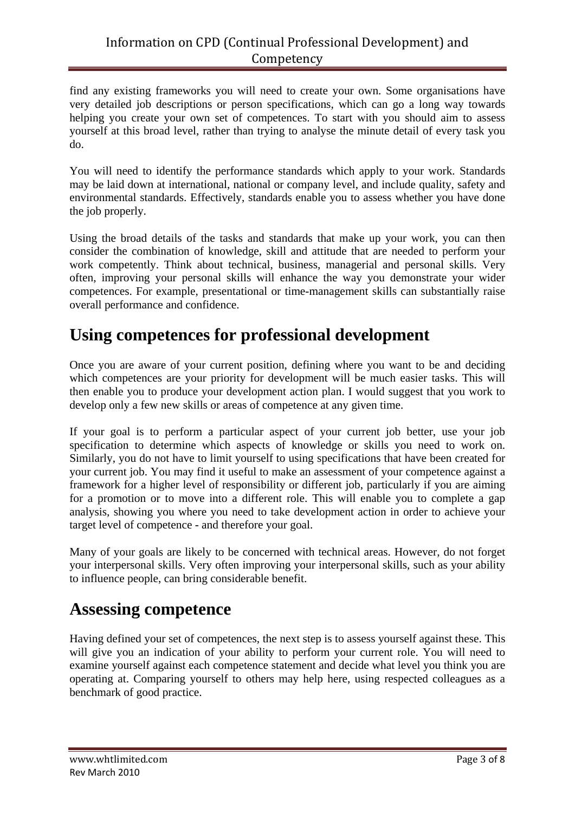find any existing frameworks you will need to create your own. Some organisations have very detailed job descriptions or person specifications, which can go a long way towards helping you create your own set of competences. To start with you should aim to assess yourself at this broad level, rather than trying to analyse the minute detail of every task you do.

You will need to identify the performance standards which apply to your work. Standards may be laid down at international, national or company level, and include quality, safety and environmental standards. Effectively, standards enable you to assess whether you have done the job properly.

Using the broad details of the tasks and standards that make up your work, you can then consider the combination of knowledge, skill and attitude that are needed to perform your work competently. Think about technical, business, managerial and personal skills. Very often, improving your personal skills will enhance the way you demonstrate your wider competences. For example, presentational or time-management skills can substantially raise overall performance and confidence.

# **Using competences for professional development**

Once you are aware of your current position, defining where you want to be and deciding which competences are your priority for development will be much easier tasks. This will then enable you to produce your development action plan. I would suggest that you work to develop only a few new skills or areas of competence at any given time.

If your goal is to perform a particular aspect of your current job better, use your job specification to determine which aspects of knowledge or skills you need to work on. Similarly, you do not have to limit yourself to using specifications that have been created for your current job. You may find it useful to make an assessment of your competence against a framework for a higher level of responsibility or different job, particularly if you are aiming for a promotion or to move into a different role. This will enable you to complete a gap analysis, showing you where you need to take development action in order to achieve your target level of competence - and therefore your goal.

Many of your goals are likely to be concerned with technical areas. However, do not forget your interpersonal skills. Very often improving your interpersonal skills, such as your ability to influence people, can bring considerable benefit.

## **Assessing competence**

Having defined your set of competences, the next step is to assess yourself against these. This will give you an indication of your ability to perform your current role. You will need to examine yourself against each competence statement and decide what level you think you are operating at. Comparing yourself to others may help here, using respected colleagues as a benchmark of good practice.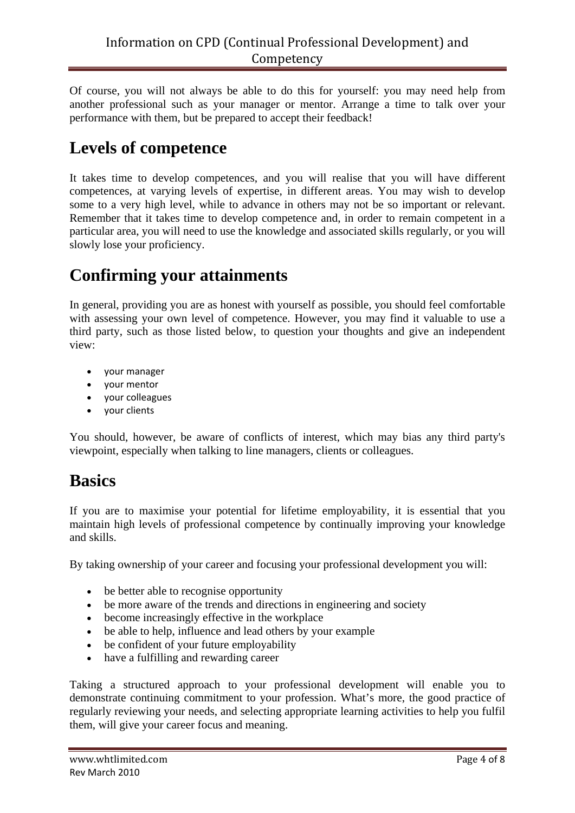Of course, you will not always be able to do this for yourself: you may need help from another professional such as your manager or mentor. Arrange a time to talk over your performance with them, but be prepared to accept their feedback!

# **Levels of competence**

It takes time to develop competences, and you will realise that you will have different competences, at varying levels of expertise, in different areas. You may wish to develop some to a very high level, while to advance in others may not be so important or relevant. Remember that it takes time to develop competence and, in order to remain competent in a particular area, you will need to use the knowledge and associated skills regularly, or you will slowly lose your proficiency.

### **Confirming your attainments**

In general, providing you are as honest with yourself as possible, you should feel comfortable with assessing your own level of competence. However, you may find it valuable to use a third party, such as those listed below, to question your thoughts and give an independent view:

- your manager
- your mentor
- your colleagues
- your clients

You should, however, be aware of conflicts of interest, which may bias any third party's viewpoint, especially when talking to line managers, clients or colleagues.

## **Basics**

If you are to maximise your potential for lifetime employability, it is essential that you maintain high levels of professional competence by continually improving your knowledge and skills.

By taking ownership of your career and focusing your professional development you will:

- be better able to recognise opportunity
- be more aware of the trends and directions in engineering and society
- become increasingly effective in the workplace
- be able to help, influence and lead others by your example
- be confident of your future employability
- have a fulfilling and rewarding career

Taking a structured approach to your professional development will enable you to demonstrate continuing commitment to your profession. What's more, the good practice of regularly reviewing your needs, and selecting appropriate learning activities to help you fulfil them, will give your career focus and meaning.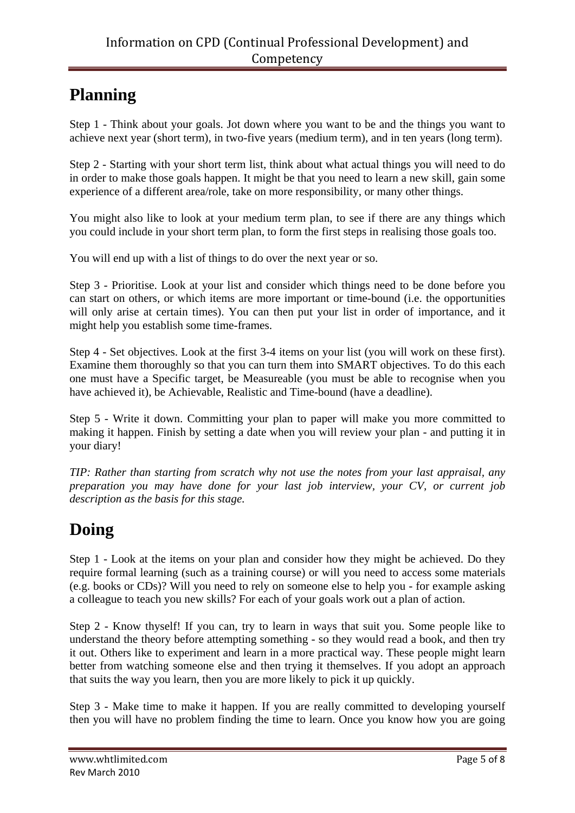## **Planning**

Step 1 - Think about your goals. Jot down where you want to be and the things you want to achieve next year (short term), in two-five years (medium term), and in ten years (long term).

Step 2 - Starting with your short term list, think about what actual things you will need to do in order to make those goals happen. It might be that you need to learn a new skill, gain some experience of a different area/role, take on more responsibility, or many other things.

You might also like to look at your medium term plan, to see if there are any things which you could include in your short term plan, to form the first steps in realising those goals too.

You will end up with a list of things to do over the next year or so.

Step 3 - Prioritise. Look at your list and consider which things need to be done before you can start on others, or which items are more important or time-bound (i.e. the opportunities will only arise at certain times). You can then put your list in order of importance, and it might help you establish some time-frames.

Step 4 - Set objectives. Look at the first 3-4 items on your list (you will work on these first). Examine them thoroughly so that you can turn them into SMART objectives. To do this each one must have a Specific target, be Measureable (you must be able to recognise when you have achieved it), be Achievable, Realistic and Time-bound (have a deadline).

Step 5 - Write it down. Committing your plan to paper will make you more committed to making it happen. Finish by setting a date when you will review your plan - and putting it in your diary!

*TIP: Rather than starting from scratch why not use the notes from your last appraisal, any preparation you may have done for your last job interview, your CV, or current job description as the basis for this stage.*

# **Doing**

Step 1 - Look at the items on your plan and consider how they might be achieved. Do they require formal learning (such as a training course) or will you need to access some materials (e.g. books or CDs)? Will you need to rely on someone else to help you - for example asking a colleague to teach you new skills? For each of your goals work out a plan of action.

Step 2 - Know thyself! If you can, try to learn in ways that suit you. Some people like to understand the theory before attempting something - so they would read a book, and then try it out. Others like to experiment and learn in a more practical way. These people might learn better from watching someone else and then trying it themselves. If you adopt an approach that suits the way you learn, then you are more likely to pick it up quickly.

Step 3 - Make time to make it happen. If you are really committed to developing yourself then you will have no problem finding the time to learn. Once you know how you are going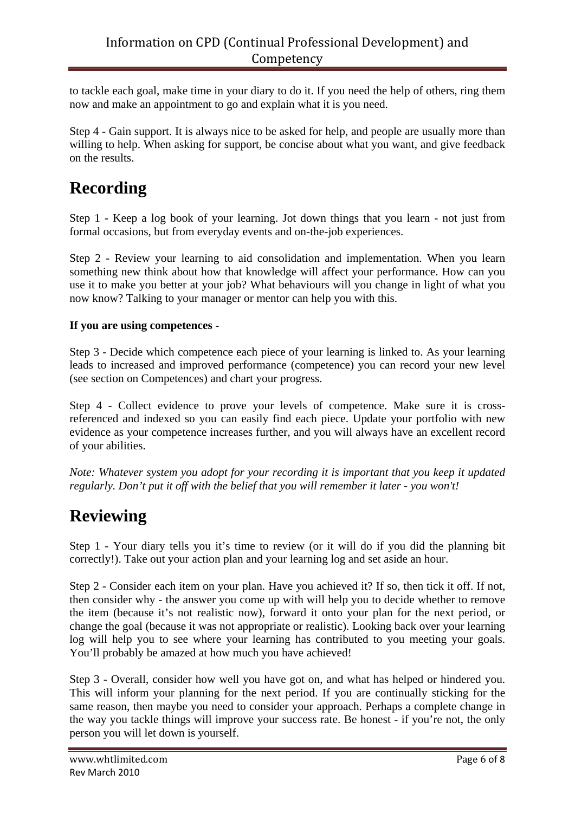to tackle each goal, make time in your diary to do it. If you need the help of others, ring them now and make an appointment to go and explain what it is you need.

Step 4 - Gain support. It is always nice to be asked for help, and people are usually more than willing to help. When asking for support, be concise about what you want, and give feedback on the results.

# **Recording**

Step 1 - Keep a log book of your learning. Jot down things that you learn - not just from formal occasions, but from everyday events and on-the-job experiences.

Step 2 - Review your learning to aid consolidation and implementation. When you learn something new think about how that knowledge will affect your performance. How can you use it to make you better at your job? What behaviours will you change in light of what you now know? Talking to your manager or mentor can help you with this.

### **If you are using competences -**

Step 3 - Decide which competence each piece of your learning is linked to. As your learning leads to increased and improved performance (competence) you can record your new level (see section on Competences) and chart your progress.

Step 4 - Collect evidence to prove your levels of competence. Make sure it is crossreferenced and indexed so you can easily find each piece. Update your portfolio with new evidence as your competence increases further, and you will always have an excellent record of your abilities.

*Note: Whatever system you adopt for your recording it is important that you keep it updated regularly. Don't put it off with the belief that you will remember it later - you won't!*

### **Reviewing**

Step 1 - Your diary tells you it's time to review (or it will do if you did the planning bit correctly!). Take out your action plan and your learning log and set aside an hour.

Step 2 - Consider each item on your plan. Have you achieved it? If so, then tick it off. If not, then consider why - the answer you come up with will help you to decide whether to remove the item (because it's not realistic now), forward it onto your plan for the next period, or change the goal (because it was not appropriate or realistic). Looking back over your learning log will help you to see where your learning has contributed to you meeting your goals. You'll probably be amazed at how much you have achieved!

Step 3 - Overall, consider how well you have got on, and what has helped or hindered you. This will inform your planning for the next period. If you are continually sticking for the same reason, then maybe you need to consider your approach. Perhaps a complete change in the way you tackle things will improve your success rate. Be honest - if you're not, the only person you will let down is yourself.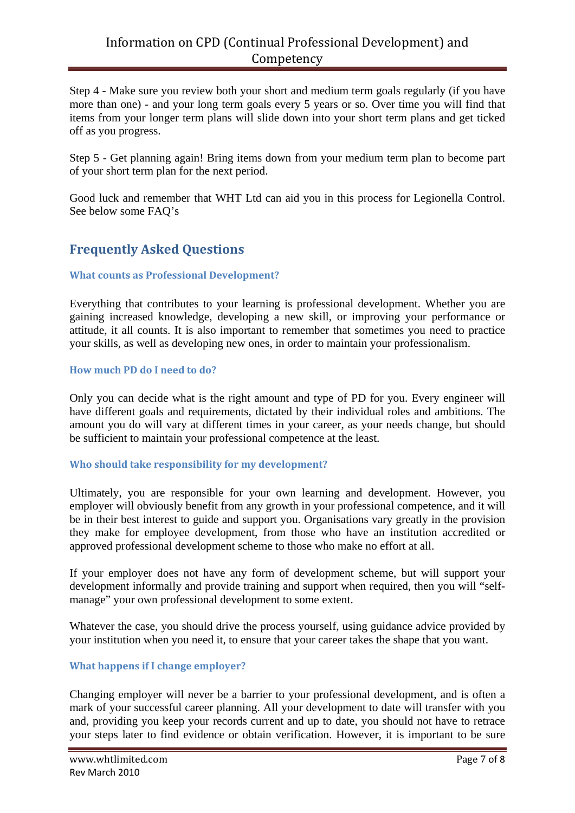### Information on CPD (Continual Professional Development) and Competency

Step 4 - Make sure you review both your short and medium term goals regularly (if you have more than one) - and your long term goals every 5 years or so. Over time you will find that items from your longer term plans will slide down into your short term plans and get ticked off as you progress.

Step 5 - Get planning again! Bring items down from your medium term plan to become part of your short term plan for the next period.

Good luck and remember that WHT Ltd can aid you in this process for Legionella Control. See below some FAQ's

### **Frequently Asked Questions**

### **What counts as Professional Development?**

Everything that contributes to your learning is professional development. Whether you are gaining increased knowledge, developing a new skill, or improving your performance or attitude, it all counts. It is also important to remember that sometimes you need to practice your skills, as well as developing new ones, in order to maintain your professionalism.

#### **How much PD do I need to do?**

Only you can decide what is the right amount and type of PD for you. Every engineer will have different goals and requirements, dictated by their individual roles and ambitions. The amount you do will vary at different times in your career, as your needs change, but should be sufficient to maintain your professional competence at the least.

### **Who should take responsibility for my development?**

Ultimately, you are responsible for your own learning and development. However, you employer will obviously benefit from any growth in your professional competence, and it will be in their best interest to guide and support you. Organisations vary greatly in the provision they make for employee development, from those who have an institution accredited or approved professional development scheme to those who make no effort at all.

If your employer does not have any form of development scheme, but will support your development informally and provide training and support when required, then you will "selfmanage" your own professional development to some extent.

Whatever the case, you should drive the process yourself, using guidance advice provided by your institution when you need it, to ensure that your career takes the shape that you want.

### **What happens if I change employer?**

Changing employer will never be a barrier to your professional development, and is often a mark of your successful career planning. All your development to date will transfer with you and, providing you keep your records current and up to date, you should not have to retrace your steps later to find evidence or obtain verification. However, it is important to be sure